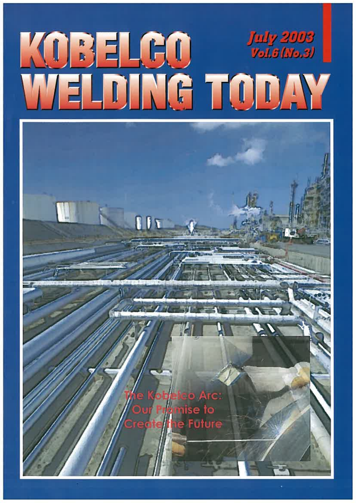

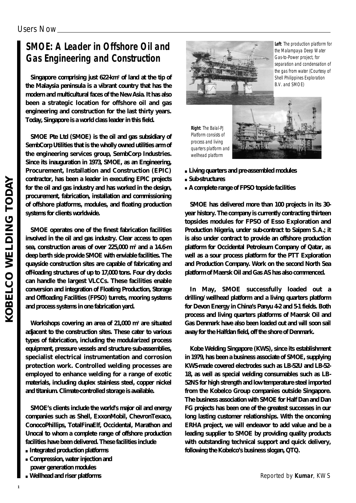# **SMOE: A Leader in Offshore Oil and Gas Engineering and Construction**

**Singapore comprising just 622-km2 of land at the tip of the Malaysia peninsula is a vibrant country that has the modern and multicultural faces of the New Asia. It has also been a strategic location for offshore oil and gas engineering and construction for the last thirty years. Today, Singapore is a world class leader in this field.**

**SMOE Pte Ltd (SMOE) is the oil and gas subsidiary of SembCorp Utilities that is the wholly owned utilities arm of the engineering services group, SembCorp Industries. Since its inauguration in 1973, SMOE, as an Engineering, Procurement, Installation and Construction (EPIC) contractor, has been a leader in executing EPIC projects for the oil and gas industry and has worked in the design, procurement, fabrication, installation and commissioning of offshore platforms, modules, and floating production systems for clients worldwide.**

**SMOE operates one of the finest fabrication facilities involved in the oil and gas industry. Clear access to open sea, construction areas of over 225,000 m2 and a 14.6-m deep berth side provide SMOE with enviable facilities. The quayside construction sites are capable of fabricating and off-loading structures of up to 17,000 tons. Four dry docks can handle the largest VLCCs. These facilities enable conversion and integration of Floating Production, Storage and Offloading Facilities (FPSO) turrets, mooring systems and process systems in one fabrication yard.**

**Workshops covering an area of 21,000 m2 are situated adjacent to the construction sites. These cater to various types of fabrication, including the modularized process equipment, pressure vessels and structure sub-assemblies, specialist electrical instrumentation and corrosion protection work. Controlled welding processes are employed to enhance welding for a range of exotic materials, including duplex stainless steel, copper nickel and titanium. Climate-controlled storage is available.**

**SMOE's clients include the world's major oil and energy companies such as Shell, ExxonMobil, ChevronTexaco, ConocoPhillips, TotalFinaElf, Occidental, Marathon and Unocal to whom a complete range of offshore production facilities have been delivered. These facilities include** 

**Integrated production platforms Compression, water injection and power generation modules Wellhead and riser platforms**



**Left**: The production platform for the Malampaya Deep Water Gas-to-Power project, for separation and condensation of the gas from water (Courtesy of Shell Philippines Exploration B.V. and SMOE)

**Right**: The Balal-PJ Platform consists of process and living quarters platform and wellhead platform



**Living quarters and pre-assembled modules Sub-structures A complete range of FPSO topside facilities**

**SMOE has delivered more than 100 projects in its 30 year history. The company is currently contracting thirteen topsides modules for FPSO of Esso Exploration and Production Nigeria, under sub-contract to Saipem S.A.; it is also under contract to provide an offshore production platform for Occidental Petroleum Company of Qatar, as well as a sour process platform for the PTT Exploration and Production Company. Work on the second North Sea platform of Maersk Oil and Gas AS has also commenced.** 

**In May, SMOE successfully loaded out a drilling/wellhead platform and a living quarters platform** for Devon Energy in China's Panyu 42 and 51 fields. Both **process and living quarters platforms of Maersk Oil and Gas Denmark have also been loaded out and will soon sail away for the Halfdan field, off the shore of Denmark.**

**Kobe Welding Singapore (KWS), since its establishment in 1979, has been a business associate of SMOE, supplying KWS-made covered electrodes such as LB-52U and LB-52- 18, as well as special welding consumables such as LB-52NS for high strength and low temperature steel imported from the Kobelco Group companies outside Singapore. The business association with SMOE for Half Dan and Dan FG projects has been one of the greatest successes in our long lasting customer relationships. With the oncoming ERHA project, we will endeavor to add value and be a leading supplier to SMOE by providing quality products with outstanding technical support and quick delivery, following the Kobelco's business slogan, QTQ.**

**KOBELCO WELDING TODAY**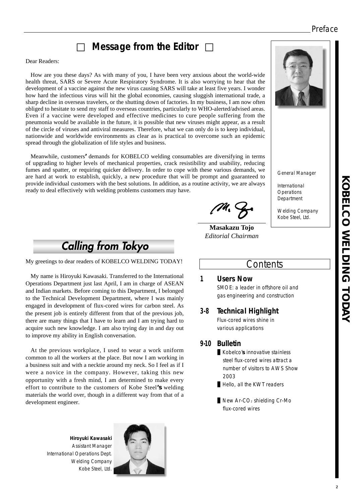## Preface

# **Message from the Editor**

#### Dear Readers:

How are you these days? As with many of you, I have been very anxious about the world-wide health threat, SARS or Severe Acute Respiratory Syndrome. It is also worrying to hear that the development of a vaccine against the new virus causing SARS will take at least five years. I wonder how hard the infectious virus will hit the global economies, causing sluggish international trade, a sharp decline in overseas travelers, or the shutting down of factories. In my business, I am now often obliged to hesitate to send my staff to overseas countries, particularly to WHO-alerted/advised areas. Even if a vaccine were developed and effective medicines to cure people suffering from the pneumonia would be available in the future, it is possible that new viruses might appear, as a result of the circle of viruses and antiviral measures. Therefore, what we can only do is to keep individual, nationwide and worldwide environments as clear as is practical to overcome such an epidemic spread through the globalization of life styles and business.

Meanwhile, customers**'**demands for KOBELCO welding consumables are diversifying in terms of upgrading to higher levels of mechanical properties, crack resistibility and usability, reducing fumes and spatter, or requiring quicker delivery. In order to cope with these various demands, we are hard at work to establish, quickly, a new procedure that will be prompt and guaranteed to provide individual customers with the best solutions. In addition, as a routine activity, we are always ready to deal effectively with welding problems customers may have.

**Masakazu Tojo** *Editorial Chairman*

## **Contents**

General Manager

Welding Company Kobe Steel, Ltd.

International **Operations** Department

### **1 Users Now** SMOE: a leader in offshore oil and

gas engineering and construction

#### **3-8 Technical Highlight** Flux-cored wires shine in

various applications

#### **9-10 Bulletin**

Kobelco'**s** innovative stainless steel flux-cored wires attract a number of visitors to AWS Show 2003 Hello, all the KWT readers

New Ar-CO2 shielding Cr-Mo flux-cored wires

**KOBELCO WELDING TODAY KORELCO NELDING TODAY** 

**Calling from Tokyo** 

My greetings to dear readers of KOBELCO WELDING TODAY!

My name is Hiroyuki Kawasaki. Transferred to the International Operations Department just last April, I am in charge of ASEAN and Indian markets. Before coming to this Department, I belonged to the Technical Development Department, where I was mainly engaged in development of flux-cored wires for carbon steel. As the present job is entirely different from that of the previous job, there are many things that I have to learn and I am trying hard to acquire such new knowledge. I am also trying day in and day out to improve my ability in English conversation.

At the previous workplace, I used to wear a work uniform common to all the workers at the place. But now I am working in a business suit and with a necktie around my neck. So I feel as if I were a novice in the company. However, taking this new opportunity with a fresh mind, I am determined to make every effort to contribute to the customers of Kobe Steel**'s** welding materials the world over, though in a different way from that of a development engineer.

**Hiroyuki Kawasaki** Assistant Manager International Operations Dept. Welding Company Kobe Steel, Ltd.

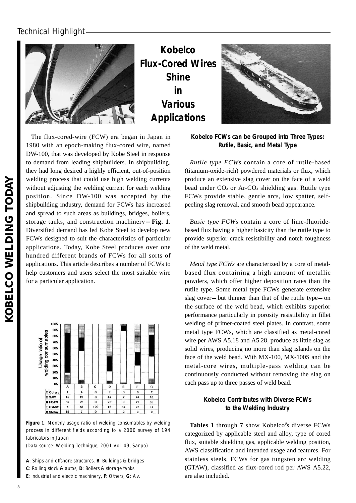

**Kobelco Flux-Cored Wires Shine in Various Applications**



The flux-cored-wire (FCW) era began in Japan in 1980 with an epoch-making flux-cored wire, named DW-100, that was developed by Kobe Steel in response to demand from leading shipbuilders. In shipbuilding, they had long desired a highly efficient, out-of-position welding process that could use high welding currents without adjusting the welding current for each welding position. Since DW-100 was accepted by the shipbuilding industry, demand for FCWs has increased and spread to such areas as buildings, bridges, boilers, storage tanks, and construction machinery **Fig. 1**. Diversified demand has led Kobe Steel to develop new FCWs designed to suit the characteristics of particular applications. Today, Kobe Steel produces over one hundred different brands of FCWs for all sorts of applications. This article describes a number of FCWs to help customers and users select the most suitable wire for a particular application.



**Figure 1**. Monthly usage ratio of welding consumables by welding process in different fields according to a 2000 survey of 194 fabricators in Japan

(Data source: Welding Technique, 2001 Vol. 49, Sanpo)

**A**: Ships and offshore structures, **B**: Buildings & bridges

**C**: Rolling stock & autos, **D**: Boilers & storage tanks

**E**: Industrial and electric machinery, **F**: Others, **G**: Av.

#### **Kobelco FCWs can be Grouped into Three Types: Rutile, Basic, and Metal Type**

*Rutile type FCWs* contain a core of rutile-based (titanium-oxide-rich) powdered materials or flux, which produce an extensive slag cover on the face of a weld bead under  $CO<sub>2</sub>$  or Ar- $CO<sub>2</sub>$  shielding gas. Rutile type FCWs provide stable, gentle arcs, low spatter, selfpeeling slag removal, and smooth bead appearance.

*Basic type FCWs* contain a core of lime-fluoridebased flux having a higher basicity than the rutile type to provide superior crack resistibility and notch toughness of the weld metal.

*Metal type FCWs* are characterized by a core of metalbased flux containing a high amount of metallic powders, which offer higher deposition rates than the rutile type. Some metal type FCWs generate extensive slag cover but thinner than that of the rutile type on the surface of the weld bead, which exhibits superior performance particularly in porosity resistibility in fillet welding of primer-coated steel plates. In contrast, some metal type FCWs, which are classified as metal-cored wire per AWS A5.18 and A5.28, produce as little slag as solid wires, producing no more than slag islands on the face of the weld bead. With MX-100, MX-100S and the metal-core wires, multiple-pass welding can be continuously conducted without removing the slag on each pass up to three passes of weld bead.

#### **Kobelco Contributes with Diverse FCWs to the Welding Industry**

**Tables 1** through **7** show Kobelco**'**s diverse FCWs categorized by applicable steel and alloy, type of cored flux, suitable shielding gas, applicable welding position, AWS classification and intended usage and features. For stainless steels, FCWs for gas tungsten arc welding (GTAW), classified as flux-cored rod per AWS A5.22, are also included.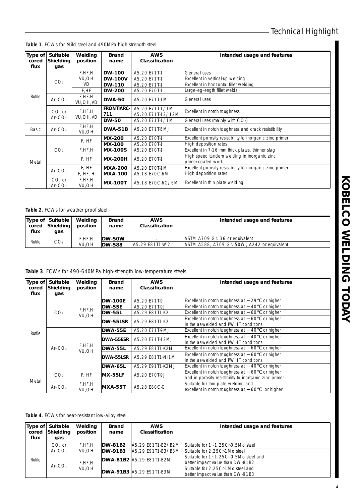| <b>Type of</b><br>cored | <b>Suitable</b><br><b>Shielding</b> | Welding<br>position  | <b>Brand</b><br>name           | <b>AWS</b><br><b>Classification</b>  | Intended usage and features                                       |  |
|-------------------------|-------------------------------------|----------------------|--------------------------------|--------------------------------------|-------------------------------------------------------------------|--|
| flux                    | gas                                 |                      |                                |                                      |                                                                   |  |
|                         |                                     | F,HF,H               | <b>DW-100</b>                  | A5.20 E71T-1                         | General uses                                                      |  |
|                         | CO <sub>2</sub>                     | VU, OH               | <b>DW-100V</b>                 | A5.20 E71T-1                         | Excellent in vertical-up welding                                  |  |
|                         |                                     | <b>VD</b>            | <b>DW-110</b>                  | A5.20 F71T-1                         | Excellent in horizontal fillet welding                            |  |
|                         |                                     | F,HF                 | <b>DW-200</b>                  | A5.20 E70T-1                         | Large-leg-length fillet welds                                     |  |
| Rutile                  | Ar- $CO2$                           | F,HF,H<br>VU, OH, VD | <b>DWA-50</b>                  | A5.20 E71T-1M                        | General uses                                                      |  |
|                         | $CO2$ or<br>Ar- $CO2$               | F.HF.H<br>VU, OH, VD | <b>FRONTIARC-</b><br>711       | A5.20 E71T-1/1M<br>A5.20 E71T-12/12M | Excellent in notch toughness                                      |  |
|                         |                                     |                      | <b>DW-50</b>                   | A5.20 E71T-1/1M                      | General uses (mainly with CO2)                                    |  |
| <b>Basic</b>            | Ar- $CO2$                           | F,HF,H<br>VU, OH     | <b>DWA-51B</b>                 | A5.20 E71T-5MJ                       | Excellent in notch toughness and crack resistibility              |  |
|                         |                                     |                      | <b>MX-200</b>                  | A5.20 E70T-1                         | Excellent porosity resistibility to inorganic zinc primer         |  |
|                         |                                     | F. HF                | <b>MX-100</b>                  | A5.20 E70T-1                         | High deposition rates                                             |  |
|                         | CO <sub>2</sub>                     | F, HF, H             | <b>MX-100S</b>                 | A5.20 E70T-1                         | Excellent in 7-16 mm thick plates, thinner slag                   |  |
| Metal                   |                                     | F, HF                | <b>MX-200H</b><br>A5.20 E70T-1 |                                      | High speed tandem welding in inorganic zinc<br>primer-coated work |  |
|                         |                                     | F. HF                | <b>MXA-200</b>                 | A5.20 E70T-1M                        | Excellent porosity resistibility to inorganic zinc primer         |  |
|                         | Ar- $CO2$                           | F, HF, H             | <b>MXA-100</b>                 | A5.18 E70C-6M                        | High deposition rates                                             |  |
|                         | $CO2$ or<br>Ar- $CO2$               | F,HF,H<br>VU, OH     | <b>MX-100T</b>                 | A5.18 E70C-6C/6M                     | Excellent in thin plate welding                                   |  |

**Table 1**. FCWs for Mild steel and 490MPa high strength steel

#### **Table 2**. FCWs for weather proof steel

| cored<br>flux | 'Type of Suitable<br><b>Shielding</b><br>qas | Weldina<br>position | Brand<br>name | <b>AWS</b><br>Classification | Intended usage and features                 |
|---------------|----------------------------------------------|---------------------|---------------|------------------------------|---------------------------------------------|
|               |                                              | F.HF.H              | DW-50W        |                              | ASTM A709 Gr. 36 or equivalent              |
| Rutile        | CO <sub>2</sub>                              | <b>VU.OH</b>        | <b>DW-588</b> | A5.29 E81T1-W2               | ASTM A588, A709 Gr. 50W, A242 or equivalent |

|  | Table 3. FCWs for 490-640MPa high-strength low-temperature steels |  |  |
|--|-------------------------------------------------------------------|--|--|
|  |                                                                   |  |  |

| Type of<br>cored<br>flux | <b>Suitable</b><br>Shielding<br>gas | Welding<br>position | <b>Brand</b><br>name | <b>AWS</b><br>Classification | Intended usage and features                                                                                  |  |  |           |                  |
|--------------------------|-------------------------------------|---------------------|----------------------|------------------------------|--------------------------------------------------------------------------------------------------------------|--|--|-----------|------------------|
|                          |                                     |                     | <b>DW-100E</b>       | A5.20 E71T-9                 | Excellent in notch toughness at<br>or higher<br>29                                                           |  |  |           |                  |
|                          |                                     |                     | <b>DW-55E</b>        | A5.20 E71T-9J                | Excellent in notch toughness at<br>or higher<br>40                                                           |  |  |           |                  |
|                          | CO <sub>2</sub>                     | F, HF, H<br>VU, OH  | <b>DW-55L</b>        | A5.29 E81T1-K2               | Excellent in notch toughness at<br>or higher<br>60                                                           |  |  |           |                  |
| Rutile                   |                                     |                     | DW-55LSR             | A5.29 E81T1-K2               | Excellent in notch toughness at<br>or higher<br>60<br>in the as-welded and PWHT conditions                   |  |  |           |                  |
|                          | Ar- $CO2$                           | F, HF, H<br>VU.OH   | DWA-55E              | A5.20 E71T-9MJ               | or higher<br>Excellent in notch toughness at<br>40                                                           |  |  |           |                  |
|                          |                                     |                     | DWA-55ESR            | A5.20 E71T-12MJ              | Excellent in notch toughness at<br>or higher<br>40<br>in the as-welded and PWHT conditions                   |  |  |           |                  |
|                          |                                     |                     | DWA-55L              | A5.29 E81T1-K2M              | Excellent in notch toughness at<br>or higher<br>60                                                           |  |  |           |                  |
|                          |                                     |                     |                      |                              |                                                                                                              |  |  | DWA-55LSR | A5.29 E81T1-Ni1M |
|                          |                                     |                     | DWA-65L              | A5.29 E91T1-K2MJ             | or higher<br>Excellent in notch toughness at<br>40                                                           |  |  |           |                  |
|                          | CO <sub>2</sub>                     | F. HF               | <b>MX-55LF</b>       | A5.20 E70T-9J                | Excellent in notch toughness at<br>or higher<br>60<br>and in porosity resistibility to inorganic zinc primer |  |  |           |                  |
| Metal                    | Ar- $CO2$                           | F, HF, H<br>VU.OH   | <b>MXA-55T</b>       | A5.28 E80C-G                 | Suitable for thin plate welding and<br>excellent in notch toughness at 60<br>or higher                       |  |  |           |                  |

**Table 4**. FCWs for heat-resistant low-alloy steel

| Type of<br>cored<br>flux | Suitable<br>Shielding<br>gas | Welding<br>position | <b>Brand</b><br>name | <b>AWS</b><br>Classification    | Intended usage and features           |
|--------------------------|------------------------------|---------------------|----------------------|---------------------------------|---------------------------------------|
|                          | $CO2$ or                     | F.HF.H              | <b>DW-81B2</b>       | IA5.29 E81T1-B2/B2M             | Suitable for 1~1.25Cr-0.5Mo steel     |
|                          | Ar- $CO2$                    | VU.OH               | <b>DW-91B3</b>       | IA5.29 E91T1-B3/B3M             | Suitable for 2.25Cr-1Mo steel         |
|                          |                              | F.HF.H              |                      | <b>DWA-81B2</b> A5.29 E81T1-B2M | Suitable for 1~1.25Cr-0.5Mo steel and |
| Rutile                   | Ar- $CO2$                    |                     |                      |                                 | better impact value than DW-81B2      |
|                          |                              | VU.OH               |                      | <b>DWA-91B3</b> A5.29 E91T1-B3M | Suitable for 2.25Cr-1Mo steel and     |
|                          |                              |                     |                      |                                 | better impact value than DW-91B3      |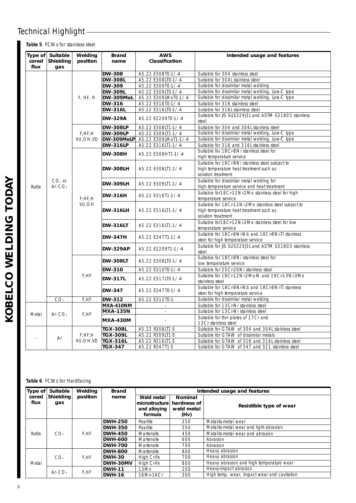**Table 5**. FCWs for stainless steel

| cored<br>flux | Type of Suitable<br>Shielding<br>gas | Welding<br>position | <b>Brand</b><br>name | <b>AWS</b><br>Classification | Intended usage and features                                                                                       |                 |                    |
|---------------|--------------------------------------|---------------------|----------------------|------------------------------|-------------------------------------------------------------------------------------------------------------------|-----------------|--------------------|
|               |                                      |                     | <b>DW-308</b>        | A5.22 E308T0-1/-4            | Suitable for 304 stainless steel                                                                                  |                 |                    |
|               |                                      |                     | <b>DW-308L</b>       | A5.22 E308LT0-1/-4           | Suitable for 304L stainless steel                                                                                 |                 |                    |
|               |                                      |                     | <b>DW-309</b>        | A5.22 E309T0-1/-4            | Suitable for dissimilar metal welding                                                                             |                 |                    |
|               |                                      |                     | <b>DW-309L</b>       | A5.22 E309LT0-1/-4           | Suitable for dissimilar metal welding, Low-C type                                                                 |                 |                    |
|               |                                      | F, HF, H            | DW-309MoL            | A5.22 E309LMoT0-1/-4         | Suitable for dissimilar metal welding, Low-C type                                                                 |                 |                    |
|               |                                      |                     | DW-316               | A5.22 E316T0-1/-4            | Suitable for 316 stainless steel                                                                                  |                 |                    |
|               |                                      |                     | <b>DW-316L</b>       | A5.22 E316LTO-1/-4           | Suitable for 316L stainless steel                                                                                 |                 |                    |
|               |                                      |                     | <b>DW-329A</b>       | A5.22 E2209T0-1/-4           | Suitable for JIS SUS329J3L and ASTM S31803 stainless<br>steel                                                     |                 |                    |
|               |                                      |                     | <b>DW-308LP</b>      | A5.22 E308LT1-1/-4           | Suitable for 304 and 304L stainless steel                                                                         |                 |                    |
|               |                                      | F, HF, H            | <b>DW-309LP</b>      | A5.22 E309LT1-1/-4           | Suitable for dissimilar metal welding, Low-C type                                                                 |                 |                    |
|               |                                      | VU, OH, VD          | DW-309MoLP           | A5.22 E309LMoT1-1/-4         | Suitable for dissimilar metal welding, Low-C type                                                                 |                 |                    |
|               |                                      |                     | <b>DW-316LP</b>      | A5.22 E316LT1-1/-4           | Suitable for 316 and 316L stainless steel                                                                         |                 |                    |
|               |                                      |                     | <b>DW-308H</b>       | A5.22 E308HT1-1/-4           | Suitable for 18Cr-8Ni stainless steel for<br>high temperature service                                             |                 |                    |
|               |                                      |                     | <b>DW-308LH</b>      | A5.22 E308LT1-1/-4           | Suitable for 18Cr-8Ni stainless steel subject to<br>high temperature heat treatment such as<br>solution treatment |                 |                    |
| Rutile        | $CO2$ or<br>Ar- $CO2$                |                     | <b>DW-309LH</b>      | A5.22 E309LT1-1/-4           | Suitable for dissimilar metal welding for<br>high temperature service and heat treatment                          |                 |                    |
|               |                                      | F,HF,H              | <b>DW-316H</b>       | A5.22 E316T1-1/-4            | Suitable for 18Cr-12Ni-2Mo stainless steel for high<br>temperature service                                        |                 |                    |
|               |                                      |                     | VU,OH                |                              |                                                                                                                   | <b>DW-316LH</b> | A5.22 E316LT1-1/-4 |
|               |                                      |                     | <b>DW-316LT</b>      | A5.22 E316LT1-1/-4           | Suitable for 18Cr-12Ni-2Mo stainless steel for low<br>temperature service                                         |                 |                    |
|               |                                      |                     | <b>DW-347H</b>       | A5.22 E347T1-1/-4            | Suitable for 18Cr-8Ni-Nb and 18Cr-8Ni-Ti stainless<br>steel for high temperature service                          |                 |                    |
|               |                                      |                     | <b>DW-329AP</b>      | A5.22 E2209T1-1/-4           | Suitable for JIS SUS329J3L and ASTM S31803 stainless<br>steel                                                     |                 |                    |
|               |                                      |                     | <b>DW-308LT</b>      | A5.22 E308LT0-1/-4           | Suitable for 18Cr-8Ni stainless steel for<br>low temperature service                                              |                 |                    |
|               |                                      |                     | <b>DW-310</b>        | A5.22 E310T0-1/-4            | Suitable for 25Cr-20Ni stainless steel                                                                            |                 |                    |
|               |                                      | F,HF                | <b>DW-317L</b>       | A5.22 E317LTO-1/-4           | Suitable for 18Cr-12Ni-2Mo-N and 19Cr-13Ni-3Mo<br>stainless steel                                                 |                 |                    |
|               |                                      |                     | <b>DW-347</b>        | A5.22 E347T0-1/-4            | Suitable for 18Cr-8Ni-Nb and 18Cr-8Ni-Ti stainless<br>steel for high temperature service                          |                 |                    |
|               | CO <sub>2</sub>                      | F,HF                | DW-312               | A5.22 E312T0-1               | Suitable for dissimilar metal welding                                                                             |                 |                    |
|               |                                      |                     | MXA-410NM            |                              | Suitable for 13Cr-Ni stainless steel                                                                              |                 |                    |
| Metal         | Ar- $CO2$                            | F.HF                | <b>MXA-135N</b>      | à,                           | Suitable for 13Cr-Ni stainless steel                                                                              |                 |                    |
|               |                                      |                     | <b>MXA-430M</b>      |                              | Suitable for thin plates of 17Cr and<br>13Cr stainless steel                                                      |                 |                    |
|               |                                      |                     | <b>TGX-308L</b>      | A5.22 R308LT1-5              | Suitable for GTAW of 304 and 304L stainless steel                                                                 |                 |                    |
|               | Ar                                   | F, HF, H            | <b>TGX-309L</b>      | A5.22 R309LT1-5              | Suitable for GTAW of dissimilar metals                                                                            |                 |                    |
|               |                                      | VU, OH, VD          | <b>TGX-316L</b>      | A5.22 R316LT1-5              | Suitable for GTAW of 316 and 316L stainless steel                                                                 |                 |                    |
|               |                                      |                     | TGX-347              | A5.22 R347T1-5               | Suitable for GTAW of 347 and 321 stainless steel                                                                  |                 |                    |

#### **Table 6**. FCWs for Hardfacing

| Type of                           | <b>Suitable</b> | Welding  | <b>Brand</b>    |                                              | Intended usage and features                         |                                             |  |  |                |            |     |                |
|-----------------------------------|-----------------|----------|-----------------|----------------------------------------------|-----------------------------------------------------|---------------------------------------------|--|--|----------------|------------|-----|----------------|
| Shielding<br>cored<br>flux<br>gas |                 | position | name<br>formula | Weld metal<br>microstructure<br>and alloying | <b>Nominal</b><br>hardness of<br>weld metal<br>(Hv) | Resistible type of wear                     |  |  |                |            |     |                |
|                                   |                 | F.HF     | <b>DWH-250</b>  | Pearlite                                     | 250                                                 | Metal-to-metal wear                         |  |  |                |            |     |                |
|                                   |                 |          | <b>DWH-350</b>  | Pearlite                                     | 350                                                 | Metal-to-metal wear and light abrasion      |  |  |                |            |     |                |
| Rutile                            | CO <sub>2</sub> |          | <b>DWH-450</b>  | Martensite                                   | 450                                                 | Metal-to-metal wear and abrasion            |  |  |                |            |     |                |
|                                   |                 |          | <b>DWH-600</b>  | Martensite                                   | 600                                                 | Abrasion                                    |  |  |                |            |     |                |
|                                   |                 |          | <b>DWH-700</b>  | Martensite                                   | 700                                                 | Abrasion                                    |  |  |                |            |     |                |
|                                   |                 |          |                 |                                              |                                                     |                                             |  |  | <b>DWH-800</b> | Martensite | 800 | Heavy abrasion |
|                                   | CO <sub>2</sub> | F.HF     | <b>DWH-30</b>   | High Cr-Fe                                   | 700                                                 | Heavy abrasion                              |  |  |                |            |     |                |
| Metal                             |                 |          | DWH-30MV        | High Cr-Fe                                   | 800                                                 | Heavy abrasion and high temperature wear    |  |  |                |            |     |                |
|                                   |                 |          | <b>DWH-11</b>   | 3Mn                                          | 250                                                 | Heavy-impact abrasion                       |  |  |                |            |     |                |
|                                   | Ar- $CO2$       | F.HF     | <b>DWH-16</b>   | 16Mn-16Cr                                    | 300                                                 | High temp. wear, impact wear and cavitation |  |  |                |            |     |                |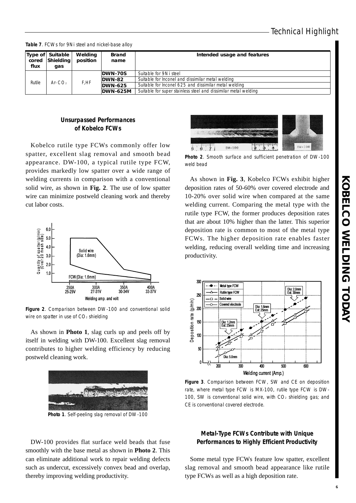**Table 7**. FCWs for 9Ni steel and nickel-base alloy

| cored<br>flux | Type of Suitable<br><b>Shielding</b><br>qas | Welding<br>position | <b>Brand</b><br>name | Intended usage and features                                     |
|---------------|---------------------------------------------|---------------------|----------------------|-----------------------------------------------------------------|
|               |                                             |                     | DWN-70S              | Suitable for 9Ni steel                                          |
| Rutile        | Ar- $CO2$                                   |                     |                      | DWN-82                                                          |
|               |                                             | F,HF                | <b>DWN-625</b>       | Suitable for Inconel 625 and dissimilar metal welding           |
|               |                                             |                     | <b>DWN-625M</b>      | Suitable for super stainless steel and dissimilar metal welding |

#### **Unsurpassed Performances of Kobelco FCWs**

Kobelco rutile type FCWs commonly offer low spatter, excellent slag removal and smooth bead appearance. DW-100, a typical rutile type FCW, provides markedly low spatter over a wide range of welding currents in comparison with a conventional solid wire, as shown in **Fig. 2**. The use of low spatter wire can minimize postweld cleaning work and thereby cut labor costs.



**Figure 2**. Comparison between DW-100 and conventional solid wire on spatter in use of  $CO<sub>2</sub>$  shielding

As shown in **Photo 1**, slag curls up and peels off by itself in welding with DW-100. Excellent slag removal contributes to higher welding efficiency by reducing postweld cleaning work.



**Photo 1**. Self-peeling slag removal of DW-100

DW-100 provides flat surface weld beads that fuse smoothly with the base metal as shown in **Photo 2**. This can eliminate additional work to repair welding defects such as undercut, excessively convex bead and overlap, thereby improving welding productivity.



**Photo 2**. Smooth surface and sufficient penetration of DW-100 weld bead

As shown in **Fig. 3**, Kobelco FCWs exhibit higher deposition rates of 50-60% over covered electrode and 10-20% over solid wire when compared at the same welding current. Comparing the metal type with the rutile type FCW, the former produces deposition rates that are about 10% higher than the latter. This superior deposition rate is common to most of the metal type FCWs. The higher deposition rate enables faster welding, reducing overall welding time and increasing productivity.



**Figure 3**. Comparison between FCW, SW and CE on deposition rate, where metal type FCW is MX-100, rutile type FCW is DW-100, SW is conventional solid wire, with  $CO<sub>2</sub>$  shielding gas; and CE is conventional covered electrode.

#### **Metal-Type FCWs Contribute with Unique Performances to Highly Efficient Productivity**

Some metal type FCWs feature low spatter, excellent slag removal and smooth bead appearance like rutile type FCWs as well as a high deposition rate.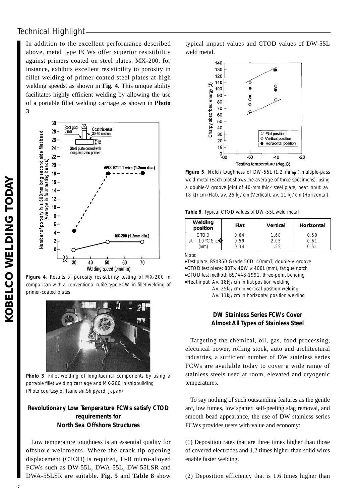In addition to the excellent performance described above, metal type FCWs offer superior resistibility against primers coated on steel plates. MX-200, for instance, exhibits excellent resistibility to porosity in fillet welding of primer-coated steel plates at high welding speeds, as shown in **Fig. 4**. This unique ability facilitates highly efficient welding by allowing the use of a portable fillet welding carriage as shown in **Photo 3**.



**Figure 4**. Results of porosity resistibility testing of MX-200 in comparison with a conventional rutile type FCW in fillet welding of primer-coated plates



**Photo 3**. Fillet welding of longitudinal components by using a portable fillet welding carriage and MX-200 in shipbuilding (Photo courtesy of Tsuneishi Shipyard, Japan)

#### **Revolutionary Low Temperature FCWs satisfy CTOD requirements for North Sea Offshore Structures**

Low temperature toughness is an essential quality for offshore weldments. Where the crack tip opening displacement (CTOD) is required, Ti-B micro-alloyed FCWs such as DW-55L, DWA-55L, DW-55LSR and DWA-55LSR are suitable. **Fig. 5** and **Table 8** show typical impact values and CTOD values of DW-55L weld metal.



**Figure 5**. Notch toughness of DW-55L (1.2 mm ) multiple-pass weld metal (Each plot shows the average of three specimens), using a double-V groove joint of 40-mm thick steel plate; heat input: av. 18 kJ/cm (Flat), av. 25 kJ/cm (Vertical), av. 11 kJ/cm (Horizontal)

**Table 8**. Typical CTOD values of DW-55L weld metal

| Welding<br>position | Flat | <b>Vertical</b> | Horizontal |
|---------------------|------|-----------------|------------|
| <b>CTOD</b>         | 0.64 | 1.68            | 0.50       |
| ח ו<br>a<br>C       | 0.59 | 2.05            | በ 61       |
| mm                  | በ 34 | 55              | 主局所        |

Note:

Test plate: BS4360 Grade 50D, 40mmT, double-V groove CTOD test piece: 80T×40W×400L (mm), fatigue notch CTOD test method: BS7448-1991, three-point bending Heat input: Av. 18kJ/cm in flat position welding

Av. 25kJ/cm in vertical position welding Av. 11kJ/cm in horizontal position welding

#### **DW Stainless Series FCWs Cover Almost All Types of Stainless Steel**

Targeting the chemical, oil, gas, food processing, electrical power, rolling stock, auto and architectural industries, a sufficient number of DW stainless series FCWs are available today to cover a wide range of stainless steels used at room, elevated and cryogenic temperatures.

To say nothing of such outstanding features as the gentle arc, low fumes, low spatter, self-peeling slag removal, and smooth bead appearance, the use of DW stainless series FCWs provides users with value and economy:

(1) Deposition rates that are three times higher than those of covered electrodes and 1.2 times higher than solid wires enable faster welding.

(2) Deposition efficiency that is 1.6 times higher than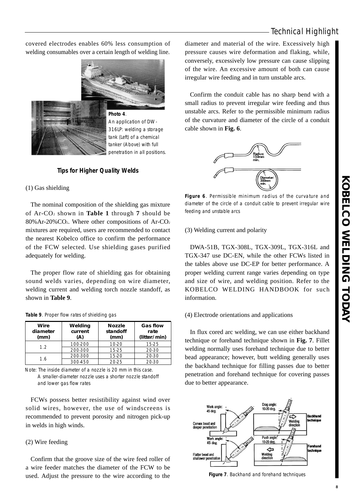**Photo 4**. An application of DW-316LP: welding a storage

> tank (Left) of a chemical tanker (Above) with full penetration in all positions.

covered electrodes enables 60% less consumption of welding consumables over a certain length of welding line.

#### **Tips for Higher Quality Welds**

#### (1) Gas shielding

The nominal composition of the shielding gas mixture of Ar-CO2 shown in **Table 1** through **7** should be 80%Ar-20%CO2. Where other compositions of Ar-CO2 mixtures are required, users are recommended to contact the nearest Kobelco office to confirm the performance of the FCW selected. Use shielding gases purified adequately for welding.

The proper flow rate of shielding gas for obtaining sound welds varies, depending on wire diameter, welding current and welding torch nozzle standoff, as shown in **Table 9**.

|  |  |  | Table 9. Proper flow rates of shielding gas |  |
|--|--|--|---------------------------------------------|--|
|  |  |  |                                             |  |

| Wire<br>diameter<br>(mm) | Welding<br>current<br>(A) | <b>Nozzle</b><br>standoff<br>(mm) | <b>Gas flow</b><br>rate<br>(litter/min) |
|--------------------------|---------------------------|-----------------------------------|-----------------------------------------|
| 12                       | 100-200                   | $10-20$                           | 15-25                                   |
|                          | 200-300                   | 15-25                             | 20-30                                   |
| 1.6                      | 200-300                   | $15-20$                           | 20-30                                   |
|                          | 300-450                   | 20-25                             | 20-30                                   |

Note: The inside diameter of a nozzle is 20 mm in this case. A smaller-diameter nozzle uses a shorter nozzle standoff and lower gas flow rates

FCWs possess better resistibility against wind over solid wires, however, the use of windscreens is recommended to prevent porosity and nitrogen pick-up in welds in high winds.

#### (2) Wire feeding

Confirm that the groove size of the wire feed roller of a wire feeder matches the diameter of the FCW to be used. Adjust the pressure to the wire according to the diameter and material of the wire. Excessively high pressure causes wire deformation and flaking, while, conversely, excessively low pressure can cause slipping of the wire. An excessive amount of both can cause irregular wire feeding and in turn unstable arcs.

Confirm the conduit cable has no sharp bend with a small radius to prevent irregular wire feeding and thus unstable arcs. Refer to the permissible minimum radius of the curvature and diameter of the circle of a conduit cable shown in **Fig. 6**.



**Figure 6**. Permissible minimum radius of the curvature and diameter of the circle of a conduit cable to prevent irregular wire feeding and unstable arcs

#### (3) Welding current and polarity

DWA-51B, TGX-308L, TGX-309L, TGX-316L and TGX-347 use DC-EN, while the other FCWs listed in the tables above use DC-EP for better performance. A proper welding current range varies depending on type and size of wire, and welding position. Refer to the KOBELCO WELDING HANDBOOK for such information.

#### (4) Electrode orientations and applications

In flux cored arc welding, we can use either backhand technique or forehand technique shown in **Fig. 7**. Fillet welding normally uses forehand technique due to better bead appearance; however, butt welding generally uses the backhand technique for filling passes due to better penetration and forehand technique for covering passes due to better appearance.



**Figure 7**. Backhand and forehand techniques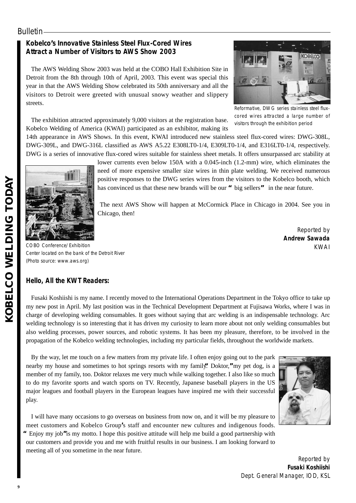### **Bulletin**

### **Kobelco's Innovative Stainless Steel Flux-Cored Wires Attract a Number of Visitors to AWS Show 2003**

The AWS Welding Show 2003 was held at the COBO Hall Exhibition Site in Detroit from the 8th through 10th of April, 2003. This event was special this year in that the AWS Welding Show celebrated its 50th anniversary and all the visitors to Detroit were greeted with unusual snowy weather and slippery streets.



Reformative, DWG series stainless steel fluxcored wires attracted a large number of visitors through the exhibition period

The exhibition attracted approximately 9,000 visitors at the registration base. Kobelco Welding of America (KWAI) participated as an exhibitor, making its

14th appearance in AWS Shows. In this event, KWAI introduced new stainless steel flux-cored wires: DWG-308L, DWG-309L, and DWG-316L classified as AWS A5.22 E308LT0-1/4, E309LT0-1/4, and E316LT0-1/4, respectively. DWG is a series of innovative flux-cored wires suitable for stainless sheet metals. It offers unsurpassed arc stability at



lower currents even below 150A with a 0.045-inch (1.2-mm) wire, which eliminates the need of more expensive smaller size wires in thin plate welding. We received numerous positive responses to the DWG series wires from the visitors to the Kobelco booth, which has convinced us that these new brands will be our **"**big sellers**"** in the near future.

The next AWS Show will happen at McCormick Place in Chicago in 2004. See you in Chicago, then!

> Reported by **Andrew Sawada** KWAI

COBO Conference/Exhibition Center located on the bank of the Detroit River (Photo source: www.aws.org)

### **Hello, All the KWT Readers:**

Fusaki Koshiishi is my name. I recently moved to the International Operations Department in the Tokyo office to take up my new post in April. My last position was in the Technical Development Department at Fujisawa Works, where I was in charge of developing welding consumables. It goes without saying that arc welding is an indispensable technology. Arc welding technology is so interesting that it has driven my curiosity to learn more about not only welding consumables but also welding processes, power sources, and robotic systems. It has been my pleasure, therefore, to be involved in the propagation of the Kobelco welding technologies, including my particular fields, throughout the worldwide markets.

By the way, let me touch on a few matters from my private life. I often enjoy going out to the park nearby my house and sometimes to hot springs resorts with my family.**"**Doktor,**"**my pet dog, is a member of my family, too. Doktor relaxes me very much while walking together. I also like so much to do my favorite sports and watch sports on TV. Recently, Japanese baseball players in the US major leagues and football players in the European leagues have inspired me with their successful play.



I will have many occasions to go overseas on business from now on, and it will be my pleasure to meet customers and Kobelco Group**'**s staff and encounter new cultures and indigenous foods. **"**Enjoy my job**"**is my motto. I hope this positive attitude will help me build a good partnership with our customers and provide you and me with fruitful results in our business. I am looking forward to meeting all of you sometime in the near future.

> Reported by **Fusaki Koshiishi** Dept. General Manager, IOD, KSL